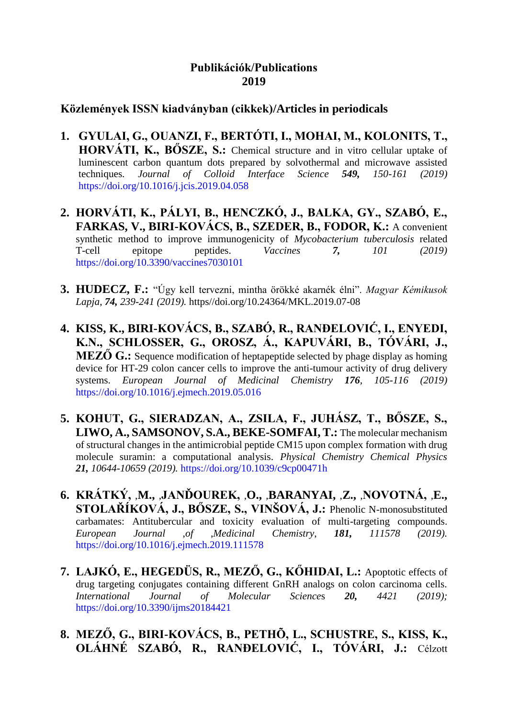## **Publikációk/Publications 2019**

## **Közlemények ISSN kiadványban (cikkek)/Articles in periodicals**

- **1. GYULAI, G., OUANZI, F., BERTÓTI, I., MOHAI, M., KOLONITS, T., HORVÁTI, K., BŐSZE, S.:** Chemical structure and in vitro cellular uptake of luminescent carbon quantum dots prepared by solvothermal and microwave assisted techniques*. Journal of Colloid Interface Science 549, 150-161 (2019)* https://doi.org/10.1016/j.jcis.2019.04.058
- **2. HORVÁTI, K., PÁLYI, B., HENCZKÓ, J., BALKA, GY., SZABÓ, E., FARKAS, V., BIRI-KOVÁCS, B., SZEDER, B., FODOR, K.:** A convenient synthetic method to improve immunogenicity of *Mycobacterium tuberculosis* related T-cell epitope peptides. *Vaccines 7, 101 (2019)* https://doi.org/10.3390/vaccines7030101
- **3. HUDECZ, F.:** "Úgy kell tervezni, mintha örökké akarnék élni". *Magyar Kémikusok Lapja*, *74, 239-241 (2019).* https//doi.org/10.24364/MKL.2019.07-08
- **4. KISS, K., BIRI-KOVÁCS, B., SZABÓ, R., RANĐELOVIĆ, I., ENYEDI, K.N., SCHLOSSER, G., OROSZ, Á., KAPUVÁRI, B., TÓVÁRI, J., MEZŐ G.:** Sequence modification of heptapeptide selected by phage display as homing device for HT-29 colon cancer cells to improve the anti-tumour activity of drug delivery systems. *European Journal of Medicinal Chemistry 176, 105-116 (2019)* https://doi.org/10.1016/j.ejmech.2019.05.016
- **5. KOHUT, G., SIERADZAN, A., ZSILA, F., JUHÁSZ, T., BŐSZE, S., LIWO, A., SAMSONOV, S.A., BEKE-SOMFAI, T.:** The molecular mechanism of structural changes in the antimicrobial peptide CM15 upon complex formation with drug molecule suramin: a computational analysis. *Physical Chemistry Chemical Physics 21, 10644-10659 (2019).* https://doi.org/10.1039/c9cp00471h
- **6. KRÁTKÝ,** ,**M.,** ,**JANĎOUREK,** ,**O.,** ,**BARANYAI,** ,**Z.,** ,**NOVOTNÁ,** ,**E., STOLAŘÍKOVÁ, J., BŐSZE, S., VINŠOVÁ, J.:** Phenolic N-monosubstituted carbamates: Antitubercular and toxicity evaluation of multi-targeting compounds. *European Journal* ,*of* ,*Medicinal Chemistry*, *181, 111578 (2019).* https://doi.org/10.1016/j.ejmech.2019.111578
- **7. LAJKÓ, E., HEGEDÜS, R., MEZŐ, G., KŐHIDAI, L.:** Apoptotic effects of drug targeting conjugates containing different GnRH analogs on colon carcinoma cells.<br>International Journal of Molecular Sciences 20. 4421 (2019) *International Journal of Molecular Sciences 20, 4421 (2019):* https://doi.org/10.3390/ijms20184421
- **8. MEZŐ, G., BIRI-KOVÁCS, B., PETHÕ, L., SCHUSTRE, S., KISS, K., OLÁHNÉ SZABÓ, R., RANĐELOVIĆ, I., TÓVÁRI, J.:** Célzott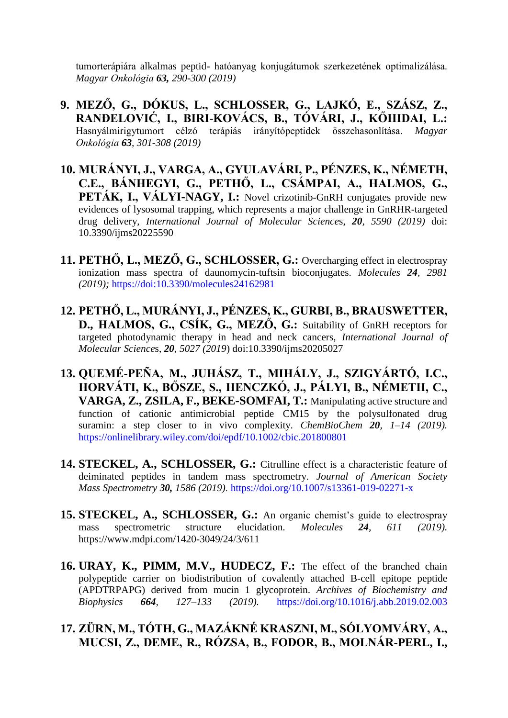tumorterápiára alkalmas peptid- hatóanyag konjugátumok szerkezetének optimalizálása. *Magyar Onkológia 63, 290-300 (2019)*

- **9. MEZŐ, G., DÓKUS, L., SCHLOSSER, G., LAJKÓ, E., SZÁSZ, Z., RANĐELOVIĆ, I., BIRI-KOVÁCS, B., TÓVÁRI, J., KŐHIDAI, L.:** Hasnyálmirigytumort célzó terápiás irányítópeptidek összehasonlítása. *Magyar Onkológia 63, 301-308 (2019)*
- **10. MURÁNYI, J., VARGA, A., GYULAVÁRI, P., PÉNZES, K., NÉMETH, C.E., BÁNHEGYI, G., PETHŐ, L., CSÁMPAI, A., HALMOS, G.,**  PETÁK, I., VÁLYI-NAGY, I.: Novel crizotinib-GnRH conjugates provide new evidences of lysosomal trapping, which represents a major challenge in GnRHR-targeted drug delivery, *International Journal of Molecular Science*s, *20, 5590 (2019)* doi: 10.3390/ijms20225590
- **11. PETHŐ, L., MEZŐ, G., SCHLOSSER, G.:** Overcharging effect in electrospray ionization mass spectra of daunomycin-tuftsin bioconjugates. *Molecules 24, 2981 (2019);* https://doi:10.3390/molecules24162981
- **12. PETHŐ, L., MURÁNYI, J., PÉNZES, K., GURBI, B., BRAUSWETTER, D., HALMOS, G., CSÍK, G., MEZŐ, G.:** Suitability of GnRH receptors for targeted photodynamic therapy in head and neck cancers, *International Journal of Molecular Science*s, *20, 5027 (2019*) doi:10.3390/ijms20205027
- **13. QUEMÉ-PEÑA, M., JUHÁSZ, T., MIHÁLY, J., SZIGYÁRTÓ, I.C., HORVÁTI, K., BŐSZE, S., HENCZKÓ, J., PÁLYI, B., NÉMETH, C., VARGA, Z., ZSILA, F., BEKE-SOMFAI, T.:** Manipulating active structure and function of cationic antimicrobial peptide CM15 by the polysulfonated drug suramin: a step closer to in vivo complexity. *ChemBioChem 20, 1–14 (2019).* https://onlinelibrary.wiley.com/doi/epdf/10.1002/cbic.201800801
- **14. STECKEL, A., SCHLOSSER, G.:** Citrulline effect is a characteristic feature of deiminated peptides in tandem mass spectrometry. *Journal of American Society Mass Spectrometry 30, 1586 (2019).* https://doi.org/10.1007/s13361-019-02271-x
- **15. STECKEL, A., SCHLOSSER, G.:** An organic chemist's guide to electrospray mass spectrometric structure elucidation. *Molecules 24, 611 (2019).* https://www.mdpi.com/1420-3049/24/3/611
- **16. URAY, K., PIMM, M.V., HUDECZ, F.:** The effect of the branched chain polypeptide carrier on biodistribution of covalently attached B-cell epitope peptide (APDTRPAPG) derived from mucin 1 glycoprotein. *Archives of Biochemistry and Biophysics 664, 127–133 (2019).* https://doi.org/10.1016/j.abb.2019.02.003
- **17. ZÜRN, M., TÓTH, G., MAZÁKNÉ KRASZNI, M., SÓLYOMVÁRY, A., MUCSI, Z., DEME, R., RÓZSA, B., FODOR, B., MOLNÁR-PERL, I.,**